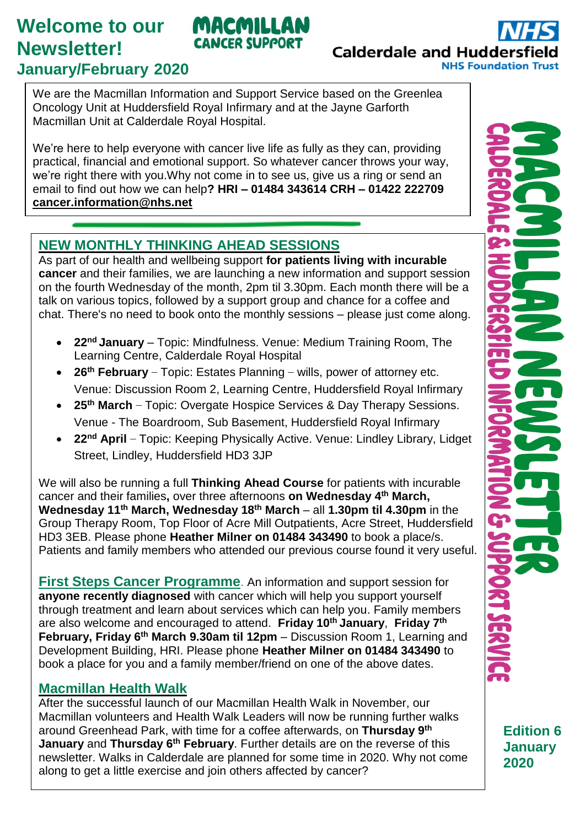## **Welcome to our Newsletter! January/February 2020**

**Calderdale and Huddersf NHS Foundation Trust** 

We are the Macmillan Information and Support Service based on the Greenlea Oncology Unit at Huddersfield Royal Infirmary and at the Jayne Garforth Macmillan Unit at Calderdale Royal Hospital.

MACMILLAN **CANCER SUPPORT** 

We're here to help everyone with cancer live life as fully as they can, providing practical, financial and emotional support. So whatever cancer throws your way, we're right there with you.Why not come in to see us, give us a ring or send an email to find out how we can help**? HRI – 01484 343614 CRH – 01422 222709 [cancer.information@nhs.net](mailto:cancer.information@nhs.net)**

## **NEW MONTHLY THINKING AHEAD SESSIONS**

As part of our health and wellbeing support **for patients living with incurable cancer** and their families, we are launching a new information and support session on the fourth Wednesday of the month, 2pm til 3.30pm. Each month there will be a talk on various topics, followed by a support group and chance for a coffee and chat. There's no need to book onto the monthly sessions – please just come along.

- **22nd January** Topic: Mindfulness. Venue: Medium Training Room, The Learning Centre, Calderdale Royal Hospital
- **26th February** Topic: Estates Planning wills, power of attorney etc. Venue: Discussion Room 2, Learning Centre, Huddersfield Royal Infirmary
- **25th March** Topic: Overgate Hospice Services & Day Therapy Sessions. Venue - The Boardroom, Sub Basement, Huddersfield Royal Infirmary
- **22nd April** Topic: Keeping Physically Active. Venue: Lindley Library, Lidget Street, Lindley, Huddersfield HD3 3JP

We will also be running a full **Thinking Ahead Course** for patients with incurable cancer and their families**,** over three afternoons **on Wednesday 4 th March, Wednesday 11th March, Wednesday 18th March** – all **1.30pm til 4.30pm** in the Group Therapy Room, Top Floor of Acre Mill Outpatients, Acre Street, Huddersfield HD3 3EB. Please phone **Heather Milner on 01484 343490** to book a place/s. Patients and family members who attended our previous course found it very useful.

**First Steps Cancer Programme**. An information and support session for **anyone recently diagnosed** with cancer which will help you support yourself through treatment and learn about services which can help you. Family members are also welcome and encouraged to attend. **Friday 10th January**, **Friday 7th February, Friday 6th March 9.30am til 12pm** – Discussion Room 1, Learning and Development Building, HRI. Please phone **Heather Milner on 01484 343490** to book a place for you and a family member/friend on one of the above dates.

## **Macmillan Health Walk**

After the successful launch of our Macmillan Health Walk in November, our Macmillan volunteers and Health Walk Leaders will now be running further walks around Greenhead Park, with time for a coffee afterwards, on **Thursday 9 th January** and Thursday 6<sup>th</sup> February. Further details are on the reverse of this newsletter. Walks in Calderdale are planned for some time in 2020. Why not come along to get a little exercise and join others affected by cancer?

**Edition 6 January 2020**